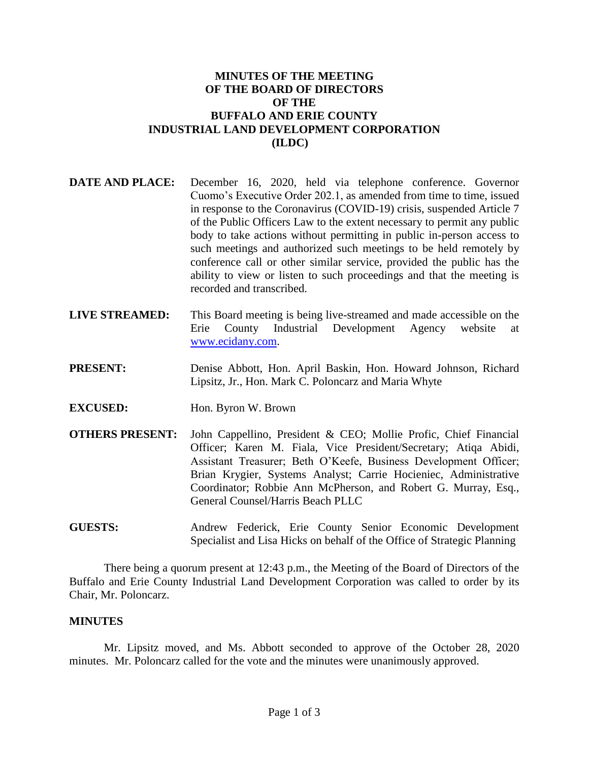## **MINUTES OF THE MEETING OF THE BOARD OF DIRECTORS OF THE BUFFALO AND ERIE COUNTY INDUSTRIAL LAND DEVELOPMENT CORPORATION (ILDC)**

- **DATE AND PLACE:** December 16, 2020, held via telephone conference. Governor Cuomo's Executive Order 202.1, as amended from time to time, issued in response to the Coronavirus (COVID-19) crisis, suspended Article 7 of the Public Officers Law to the extent necessary to permit any public body to take actions without permitting in public in-person access to such meetings and authorized such meetings to be held remotely by conference call or other similar service, provided the public has the ability to view or listen to such proceedings and that the meeting is recorded and transcribed.
- **LIVE STREAMED:** This Board meeting is being live-streamed and made accessible on the Erie County Industrial Development Agency website at [www.ecidany.com.](http://www.ecidany.com/)
- **PRESENT:** Denise Abbott, Hon. April Baskin, Hon. Howard Johnson, Richard Lipsitz, Jr., Hon. Mark C. Poloncarz and Maria Whyte
- **EXCUSED:** Hon. Byron W. Brown
- **OTHERS PRESENT:** John Cappellino, President & CEO; Mollie Profic, Chief Financial Officer; Karen M. Fiala, Vice President/Secretary; Atiqa Abidi, Assistant Treasurer; Beth O'Keefe, Business Development Officer; Brian Krygier, Systems Analyst; Carrie Hocieniec, Administrative Coordinator; Robbie Ann McPherson, and Robert G. Murray, Esq., General Counsel/Harris Beach PLLC
- **GUESTS:** Andrew Federick, Erie County Senior Economic Development Specialist and Lisa Hicks on behalf of the Office of Strategic Planning

There being a quorum present at 12:43 p.m., the Meeting of the Board of Directors of the Buffalo and Erie County Industrial Land Development Corporation was called to order by its Chair, Mr. Poloncarz.

## **MINUTES**

Mr. Lipsitz moved, and Ms. Abbott seconded to approve of the October 28, 2020 minutes. Mr. Poloncarz called for the vote and the minutes were unanimously approved.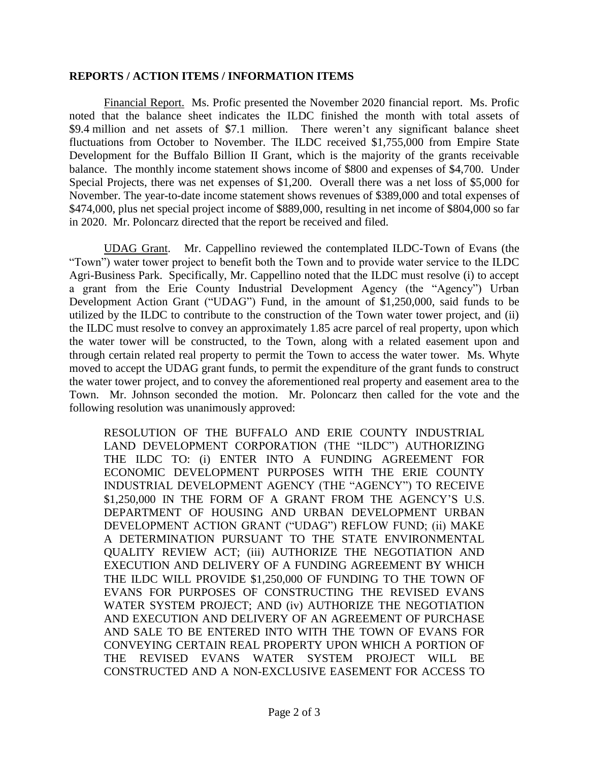## **REPORTS / ACTION ITEMS / INFORMATION ITEMS**

Financial Report. Ms. Profic presented the November 2020 financial report. Ms. Profic noted that the balance sheet indicates the ILDC finished the month with total assets of \$9.4 million and net assets of \$7.1 million. There weren't any significant balance sheet fluctuations from October to November. The ILDC received \$1,755,000 from Empire State Development for the Buffalo Billion II Grant, which is the majority of the grants receivable balance. The monthly income statement shows income of \$800 and expenses of \$4,700. Under Special Projects, there was net expenses of \$1,200. Overall there was a net loss of \$5,000 for November. The year-to-date income statement shows revenues of \$389,000 and total expenses of \$474,000, plus net special project income of \$889,000, resulting in net income of \$804,000 so far in 2020. Mr. Poloncarz directed that the report be received and filed.

UDAG Grant. Mr. Cappellino reviewed the contemplated ILDC-Town of Evans (the "Town") water tower project to benefit both the Town and to provide water service to the ILDC Agri-Business Park. Specifically, Mr. Cappellino noted that the ILDC must resolve (i) to accept a grant from the Erie County Industrial Development Agency (the "Agency") Urban Development Action Grant ("UDAG") Fund, in the amount of \$1,250,000, said funds to be utilized by the ILDC to contribute to the construction of the Town water tower project, and (ii) the ILDC must resolve to convey an approximately 1.85 acre parcel of real property, upon which the water tower will be constructed, to the Town, along with a related easement upon and through certain related real property to permit the Town to access the water tower. Ms. Whyte moved to accept the UDAG grant funds, to permit the expenditure of the grant funds to construct the water tower project, and to convey the aforementioned real property and easement area to the Town. Mr. Johnson seconded the motion. Mr. Poloncarz then called for the vote and the following resolution was unanimously approved:

RESOLUTION OF THE BUFFALO AND ERIE COUNTY INDUSTRIAL LAND DEVELOPMENT CORPORATION (THE "ILDC") AUTHORIZING THE ILDC TO: (i) ENTER INTO A FUNDING AGREEMENT FOR ECONOMIC DEVELOPMENT PURPOSES WITH THE ERIE COUNTY INDUSTRIAL DEVELOPMENT AGENCY (THE "AGENCY") TO RECEIVE \$1,250,000 IN THE FORM OF A GRANT FROM THE AGENCY'S U.S. DEPARTMENT OF HOUSING AND URBAN DEVELOPMENT URBAN DEVELOPMENT ACTION GRANT ("UDAG") REFLOW FUND; (ii) MAKE A DETERMINATION PURSUANT TO THE STATE ENVIRONMENTAL QUALITY REVIEW ACT; (iii) AUTHORIZE THE NEGOTIATION AND EXECUTION AND DELIVERY OF A FUNDING AGREEMENT BY WHICH THE ILDC WILL PROVIDE \$1,250,000 OF FUNDING TO THE TOWN OF EVANS FOR PURPOSES OF CONSTRUCTING THE REVISED EVANS WATER SYSTEM PROJECT; AND (iv) AUTHORIZE THE NEGOTIATION AND EXECUTION AND DELIVERY OF AN AGREEMENT OF PURCHASE AND SALE TO BE ENTERED INTO WITH THE TOWN OF EVANS FOR CONVEYING CERTAIN REAL PROPERTY UPON WHICH A PORTION OF THE REVISED EVANS WATER SYSTEM PROJECT WILL BE CONSTRUCTED AND A NON-EXCLUSIVE EASEMENT FOR ACCESS TO